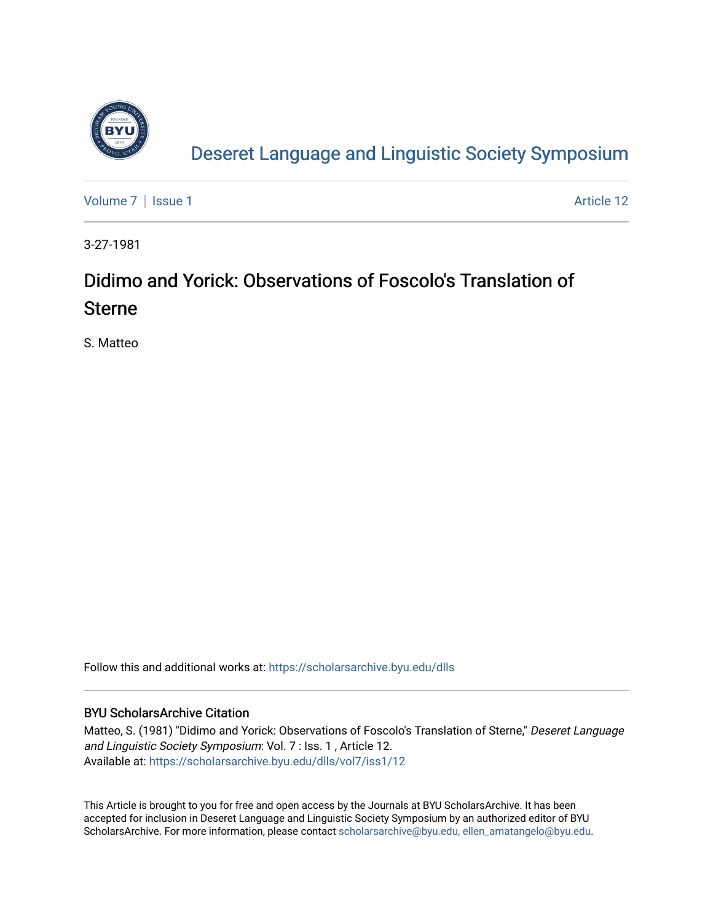

[Deseret Language and Linguistic Society Symposium](https://scholarsarchive.byu.edu/dlls) 

[Volume 7](https://scholarsarchive.byu.edu/dlls/vol7) | [Issue 1](https://scholarsarchive.byu.edu/dlls/vol7/iss1) Article 12

3-27-1981

## Didimo and Yorick: Observations of Foscolo's Translation of Sterne

S. Matteo

Follow this and additional works at: [https://scholarsarchive.byu.edu/dlls](https://scholarsarchive.byu.edu/dlls?utm_source=scholarsarchive.byu.edu%2Fdlls%2Fvol7%2Fiss1%2F12&utm_medium=PDF&utm_campaign=PDFCoverPages) 

## BYU ScholarsArchive Citation

Matteo, S. (1981) "Didimo and Yorick: Observations of Foscolo's Translation of Sterne," Deseret Language and Linguistic Society Symposium: Vol. 7 : Iss. 1, Article 12. Available at: [https://scholarsarchive.byu.edu/dlls/vol7/iss1/12](https://scholarsarchive.byu.edu/dlls/vol7/iss1/12?utm_source=scholarsarchive.byu.edu%2Fdlls%2Fvol7%2Fiss1%2F12&utm_medium=PDF&utm_campaign=PDFCoverPages)

This Article is brought to you for free and open access by the Journals at BYU ScholarsArchive. It has been accepted for inclusion in Deseret Language and Linguistic Society Symposium by an authorized editor of BYU ScholarsArchive. For more information, please contact [scholarsarchive@byu.edu, ellen\\_amatangelo@byu.edu.](mailto:scholarsarchive@byu.edu,%20ellen_amatangelo@byu.edu)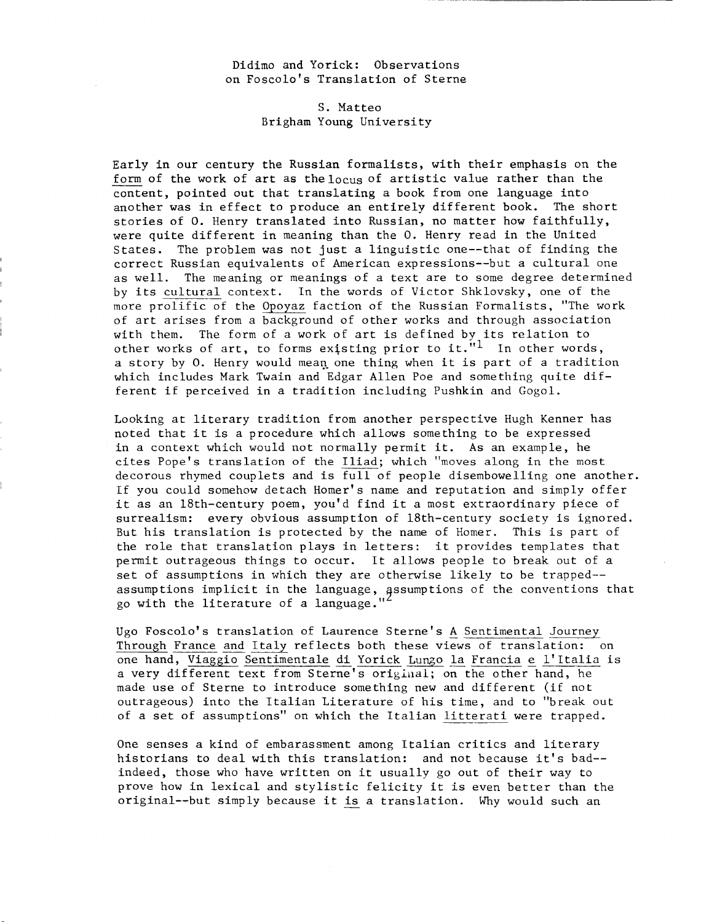Didimo and Yorick: Observations on Foscolo's Translation of Sterne

> S. Matteo Brigham Young University

Early in our century the Russian formalists, with their emphasis on the form of the work of art as the locus of artistic value rather than the content, pointed out that translating a book from one language into another was in effect to produce an entirely different book. The short stories of O. Henry translated into Russian, no matter how faithfully, were quite different in meaning than the O. Henry read in the United States. The problem was not just a linguistic one--that of finding the correct Russian equivalents of American expressions--but a cultural one as well. The meaning or meanings of a text are to some degree determined by its cultural context. In the words of Victor Shklovsky, one of the more prolific of the Opoyaz faction of the Russian Formalists, "The work of art arises from a background of other works and through association with them. The form of a work of art is defined by its relation to other works of art, to forms existing prior to it. $"1$  In other words, a story by 0. Henry would mean one thing when it is part of a tradition which includes Mark Twain and Edgar Allen Poe and something quite different if perceived in a tradition including Pushkin and Gogol.

Looking at literary tradition from another perspective Hugh Kenner has noted that it is a procedure which allows something to be expressed in a context which would not normally permit it. As an example, he cites Pope's translation of the Iliad; which "moves along in the most decorous rhymed couplets and is full of people disembowelling one another. If you could somehow detach Homer's name and reputation and simply offer it as an 18th-century poem, you'd find it a most extraordinary piece of surrealism: every obvious assumption of 18th-century society is ignored. But his translation is protected by the name of Homer. This is part of the role that translation plays in letters: it provides templates that permit outrageous things to occur. It allows people to break out of a set of assumptions in which they are otherwise likely to be trapped-assumptions implicit in the language, assumptions of the conventions that go with the literature of a language."

Ugo Foscolo's translation of Laurence Sterne's A Sentimental Journey Through France and Italy reflects both these views of translation: on one hand, Viaggio Sentimentale di Yorick Lungo la Francia e l'Italia is a very different text from Sterne's original; on the other hand, he made use of Sterne to introduce something new and different (if not outrageous) into the Italian Literature of his time, and to "break out of a set of assumptions" on which the Italian litterati were trapped.

One senses a kind of embarassment among Italian critics and literary historians to deal with this translation: and not because it's bad- indeed, those who have written on it usually go out of their way to prove how in lexical and stylistic felicity it is even better than the original--but simply because it is a translation. Why would such an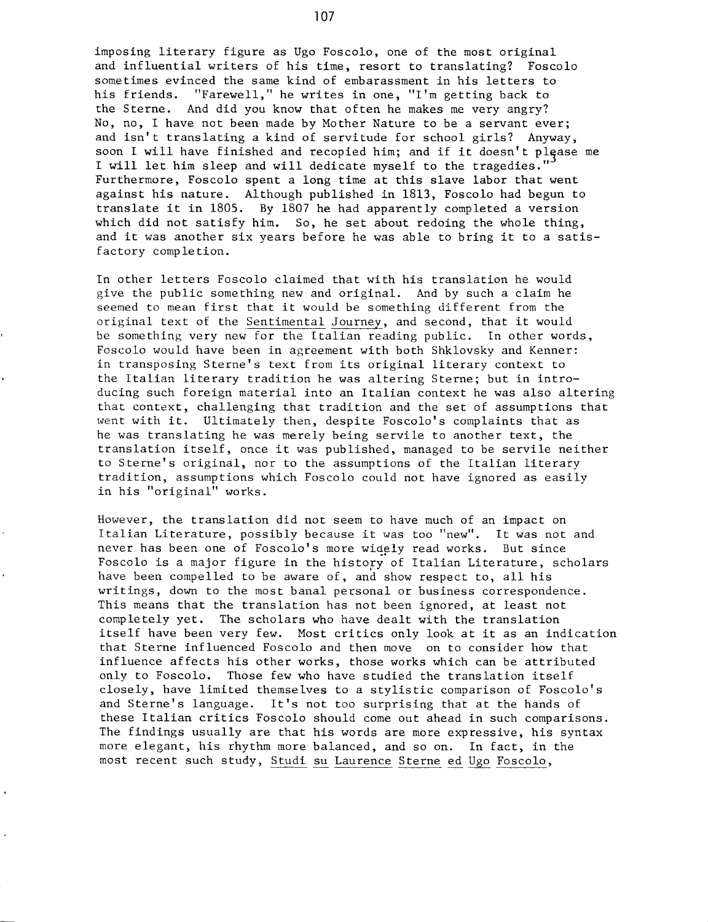imposing literary figure as Ugo Foscolo, one of the most original and influential writers of his time, resort to translating? Foscolo sometimes evinced the same kind of embarassment in his letters to his friends. "Farewell," he writes in one, "I'm getting back to the Sterne. And did you know that often he makes me very angry? No, no, I have not been made by Mother Nature to be a servant ever; and isn't translating a kind of servitude for school girls? Anyway, soon I will have finished and recopied him; and if it doesn't please me I will let him sleep and will dedicate myself to the tragedies." Furthermore, Foscolo spent a long time at this slave labor that went against his nature. Although published in 1813, Foscolo had begun to translate it in 1805. By 1807 he had apparently completed a version which did not satisfy him. So, he set about redoing the whole thing, and it was another six years before he was able to bring it to a satisfactory completion.

In other letters Foscolo claimed that with his translation he would give the public something new and original. And by such a claim he seemed to mean first that it would be something different from the original text of the Sentimental Journey, and second, that it would be something very new for the Italian reading public. In other words, Foscolo would have been in agreement with both Shklovsky and Kenner: in transposing Sterne's text from its original literary context to the Italian literary tradition he was altering Sterne; but in introducing such foreign material into an Italian context he was also altering that context, challenging that tradition and the set of assumptions that went with it. Ultimately then, despite Foscolo's complaints that as he was translating he was merely being servile to another text, the translation itself, once it was published, managed to be servile neither to Sterne's original, nor to the assumptions of the Italian literary tradition, assumptions which Foscolo could not have ignored as easily in his "original" works.

However, the translation did not seem to have much of an impact on Italian Literature, possibly because it was too "new". It was not and never has been one of Foscolo's more widely read works. But since Foscolo is a major figure in the history of Italian Literature, scholars have been compelled to be aware of, and show respect to, all his writings, down to the most banal personal or business correspondence. This means that the translation has not been ignored, at least not completely yet. The scholars who have dealt with the translation itself have been very few. Most critics only look at it as an indication that Sterne influenced Foscolo and then move on to consider how that influence affects his other works, those works which can be attributed only to Foscolo. Those few who have studied the translation itself closely, have limited themselves to a stylistic comparison of Foscolo's and Sterne's language. It's not too surprising that at the hands of these Italian critics Foscolo should come out ahead in such comparisons. The findings usually are that his words are more expressive, his syntax more elegant, his rhythm more balanced, and so on. In fact, in the most recent such study, Studi su Laurence Sterne ed Ugo Foscolo,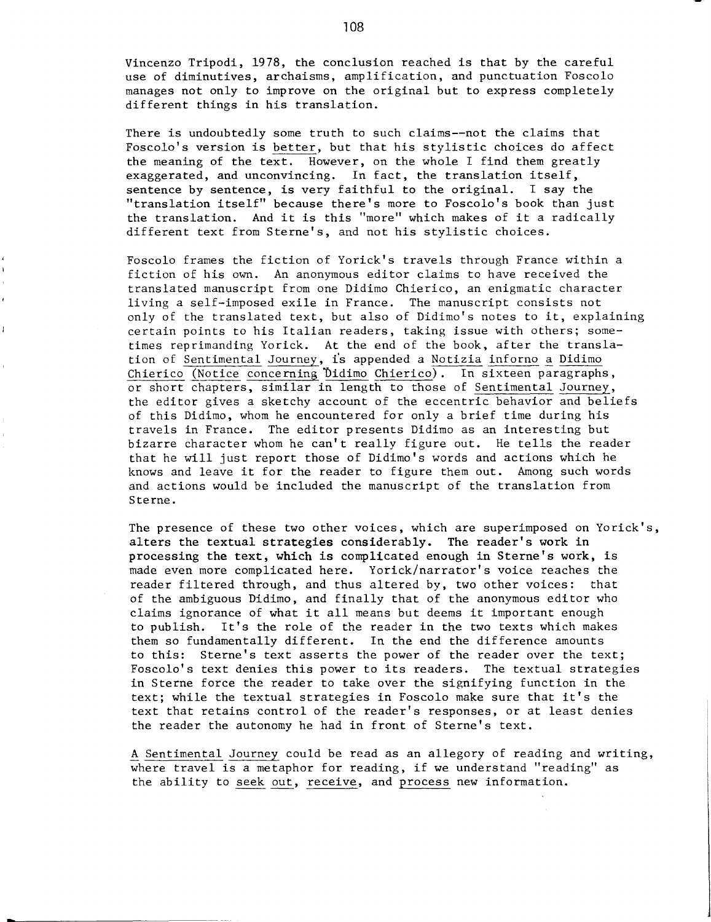Vincenzo Tripodi, 1978, the conclusion reached is that by the careful use of diminutives, archaisms, amplification, and punctuation Foscolo manages not only to improve on the original but to express completely different things in his translation.

There is undoubtedly some truth to such claims--not the claims that Foscolo's version is better, but that his stylistic choices do affect the meaning of the text. However, on the whole I find them greatly exaggerated, and unconvincing. In fact, the translation itself, sentence by sentence, is very faithful to the original. I say the "translation itself" because there's more to Foscolo's book than just the translation. And it is this "more" which makes of it a radically different text from Sterne's, and not his stylistic choices.

Foscolo frames the fiction of Yorick's travels through France within a fiction of his own. An anonymous editor claims to have received the translated manuscript from one Didimo Chierico, an enigmatic character living a self-imposed exile in France. The manuscript consists not only of the translated text, but also of Didimo's notes to it, explaining certain points to his Italian readers, taking issue with others; sometimes reprimanding Yorick. At the end of the book, after the translation of Sentimental Journey, is appended a Notizia inforno a Didimo Chierico (Notice concerning Didimo Chierico). In sixteen paragraphs, or short chapters, similar in length to those of Sentimental Journey, the editor gives a sketchy account of the eccentric behavior and beliefs of this Didimo, whom he encountered for only a brief time during his travels in France. The editor presents Didimo as an interesting but bizarre character whom he can't really figure out. He tells the reader that he will just report those of Didimo's words and actions which he knows and leave it for the reader to figure them out. Among such words and actions would be included the manuscript of the translation from Sterne.

The presence of these two other voices, which are superimposed on Yorick's, alters the textual strategies considerably. The reader's work in processing the text, which is complicated enough in Sterne's work, is made even more complicated here. Yorick/narrator's voice reaches the reader filtered through, and thus altered by, two other voices: that of the ambiguous Didimo, and finally that of the anonymous editor who claims ignorance of what it all means but deems it important enough to publish. It's the role of the reader in the two texts which makes them so fundamentally different. In the end the difference amounts to this: Sterne's text asserts the power of the reader over the text; Foscolo's text denies this power to its readers. The textual strategies in Sterne force the reader to take over the signifying function in the text; while the textual strategies in Foscolo make sure that it's the text that retains control of the reader's responses, or at least denies the reader the autonomy he had in front of Sterne's text.

A Sentimental Journey could be read as an allegory of reading and writing, where travel is a metaphor for reading, if we understand "reading" as the ability to seek out, receive, and process new information.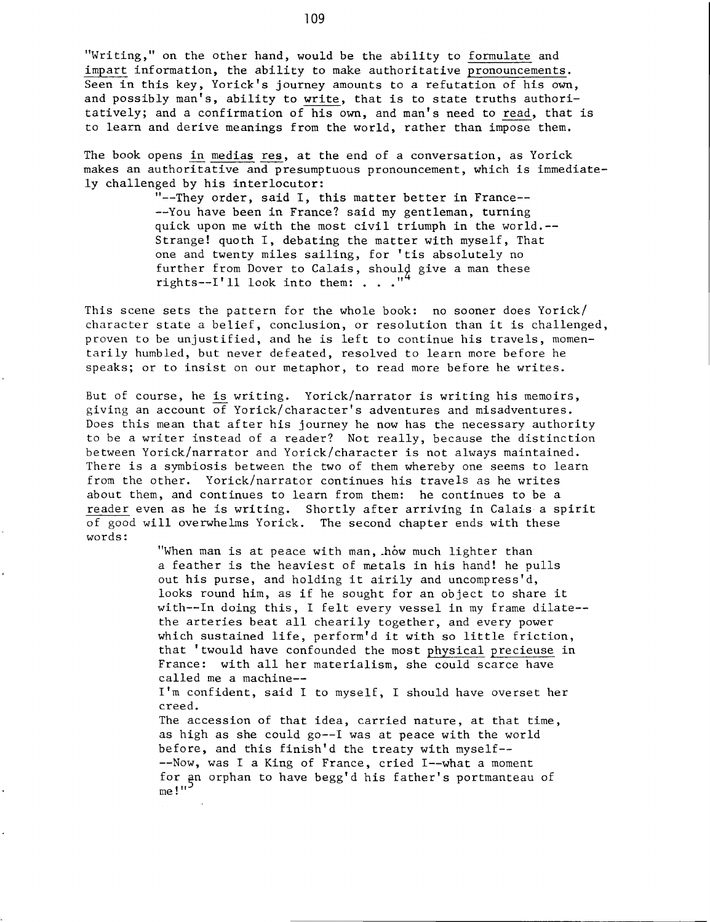"Writing," on the other hand, would be the ability to formulate and impart information, the ability to make authoritative pronouncements. Seen in this key, Yorick's journey amounts to a refutation of his own, and possibly man's, ability to write, that is to state truths authoritatively; and a confirmation of his own, and man's need to read, that is to learn and derive meanings from the world, rather than impose them.

The book opens in medias res, at the end of a conversation, as Yorick makes an authoritative and presumptuous pronouncement, which is immediately challenged by his interlocutor:

> "--They order, said I, this matter better in France-- --You have been in France? said my gentleman, turning quick upon me with the most civil triumph in the world.-- Strange! quoth I, debating the matter with myself, That one and twenty miles sailing, for 'tis absolutely no further from Dover to Calais, should give a man these<br>rights--I'll look into them: . . . "<sup>4</sup>

This scene sets the pattern for the whole book: no sooner does Yorick/ character state a belief, conclusion, or resolution than it is challenged, proven to be unjustified, and he is left to continue his travels, momentarily humbled, but never defeated, resolved to learn more before he speaks; or to insist on our metaphor, to read more before he writes.

But of course, he is writing. Yorick/narrator is writing his memoirs, giving an account of Yorick/character's adventures and misadventures. Does this mean that after his journey he now has the necessary authority to be a writer instead of a reader? Not really, because the distinction between Yorick/narrator and Yorick/character is not always maintained. There is a symbiosis between the two of them whereby one seems to learn from the other. Yorick/narrator continues his travels as he writes about them, and continues to learn from them: he continues to be a reader even as he is writing. Shortly after arriving in Calais a spirit of good will overwhelms Yorick. The second chapter ends with these words:

> "When man is at peace with man, how much lighter than a feather is the heaviest of metals in his hand! he pulls out his purse, and holding it airily and uncompress'd, looks round him, as if he sought for an object to share it with--In doing this, I felt every vessel in my frame dilate- the arteries beat all chearily together, and every power which sustained life, perform'd it with so little friction, that 'twould have confounded the most physical precieuse in France: with all her materialism, she could scarce have called me a machine--

I'm confident, said I to myself, I should have overset her creed.

The accession of that idea, carried nature, at that time, as high as she could go--I was at peace with the world before, and this finish'd the treaty with myself-- --Now, was I a King of France, cried I--what a moment for an orphan to have begg'd his father's portmanteau of me!"<sup>-</sup>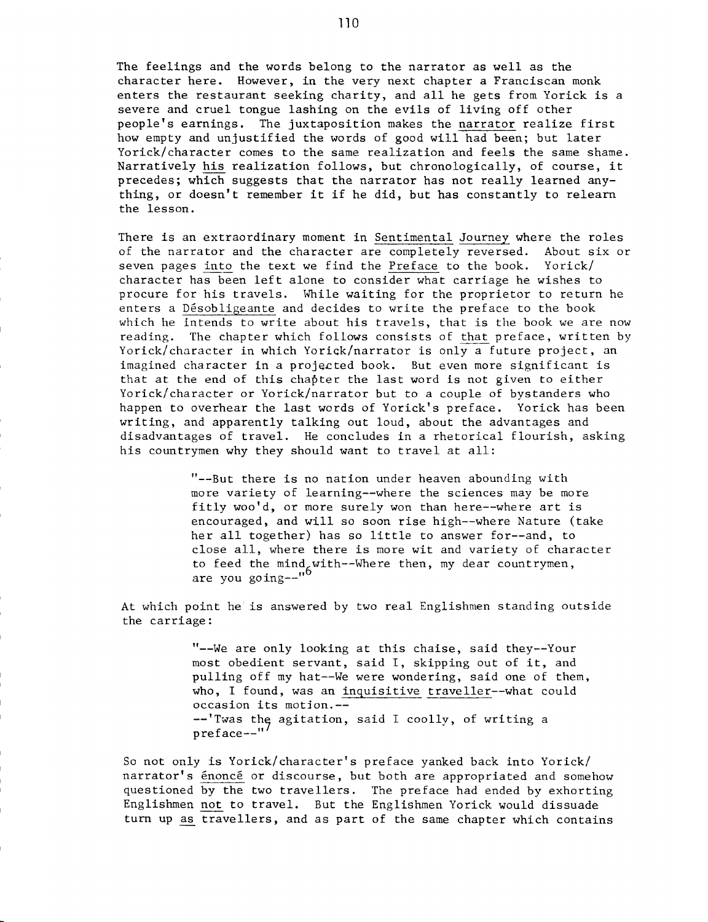The feelings and the words belong to the narrator as well as the character here. However, in the very next chapter a Franciscan monk enters the restaurant seeking charity, and all he gets from Yorick is a severe and cruel tongue lashing on the evils of living off other people's earnings. The juxtaposition makes the narrator realize first how empty and unjustified the words of good will had been; but later Yorick/character comes to the same realization and feels the same shame. Narratively his realization follows, but chronologically, of course, it precedes; which suggests that the narrator has not really learned anything, or doesn't remember it if he did, but has constantly to relearn the lesson.

There is an extraordinary moment in Sentimental Journey where the roles of the narrator and the character are completely reversed. About six or seven pages into the text we find the Preface to the book. Yorick/ seven pages into the text we find the Preface to the book. character has been left alone to consider what carriage he wishes to procure for his travels. While waiting for the proprietor to return he enters a Désobligeante and decides to write the preface to the book which he intends to write about his travels, that is the book we are now reading. The chapter which follows consists of that preface, written by Yorick/character in which Yorick/narrator is only a future project, an imagined character in a projected book. But even more significant is that at the end of this chapter the last word is not given to either Yorick/character or Yorick/narrator but to a couple of bystanders who happen to overhear the last words of Yorick's preface. Yorick has been writing, and apparently talking out loud, about the advantages and disadvantages of travel. He concludes in a rhetorical flourish, asking his countrymen why they should want to travel at all:

> $"$ --But there is no nation under heaven abounding with more variety of learning--where the sciences may be more fitly woo'd, or more surely won than here--where art is encouraged, and will so soon rise high--where Nature (take her all together) has so little to answer for--and, to close all, where there is more wit and variety of character to feed the mind with--Where then, my dear countrymen, are you going--"<sup>o</sup>

At which point he is answered by two real Englishmen standing outside the carriage:

> "--We are only looking at this chaise, said they--Your most obedient servant, said I, skipping out of it, and pulling off my hat--We were wondering, said one of them, who, I found, was an inquisitive traveller--what could occasion its motjon.-- --'Twas the agitation, said I coolly, of writing a preface--"

So not only is Yorick/character's preface yanked back into Yorick/ narrator's énoncé or discourse, but both are appropriated and somehow questioned by the two travellers. The preface had ended by exhorting Englishmen not to travel. But the Englishmen Yorick would dissuade turn up as travellers, and as part of the same chapter which contains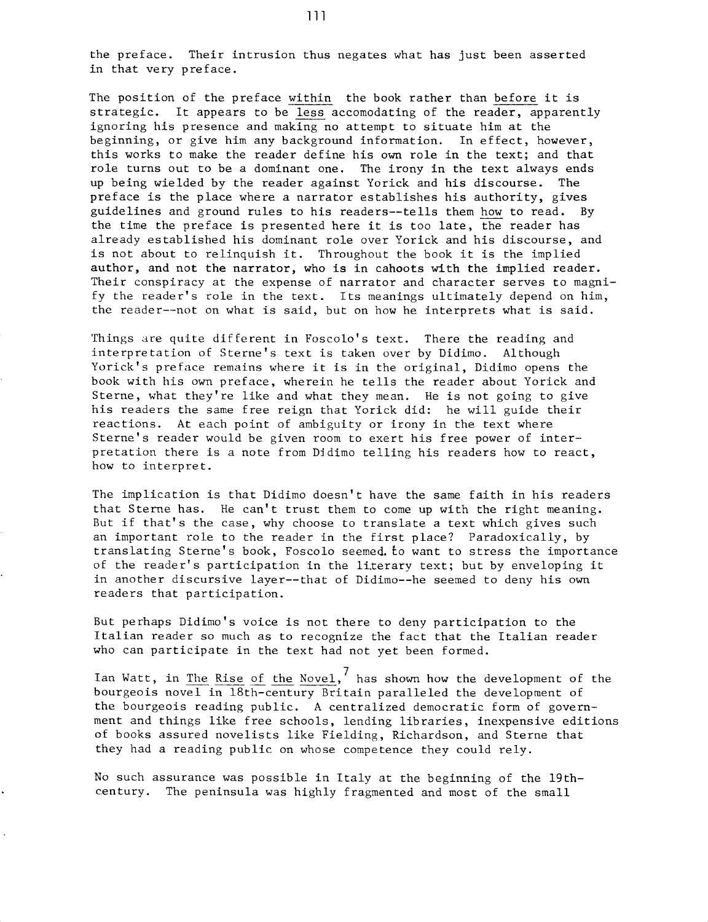the preface. Their intrusion thus negates what has just been asserted in that very preface.

The position of the preface within the book rather than before it is strategic. It appears to be less accomodating of the reader, apparently ignoring his presence and making no attempt to situate him at the beginning, or give him any background information. In effect, however, this works to make the reader define his own role in the text; and that role turns out to be a dominant one. The irony in the text always ends up being wielded by the reader against Yorick and his discourse. The preface is the place where a narrator establishes his authority, gives guidelines and ground rules to his readers--tells them how to read. By the time the preface is presented here it is too late, the reader has already established his dominant role over Yorick and his discourse, and is not about to relinquish it. Throughout the book it is the implied author, and not the narrator, who is in cahoots with the implied reader. Their conspiracy at the expense of narrator and character serves to magnify the reader's role in the text. Its meanings ultimately depend on him, the reader--not on what is said, but on how he interprets what is said.

Things are quite different in Foscolo's text. There the reading and interpretation of Sterne's text is taken over by Didimo. Although Yorick's preface remains where it is in the original, Didimo opens the book with his own preface, wherein he tells the reader about Yorick and Sterne, what they're like and what they mean. He is not going to give his readers the same free reign that Yorick did: he will guide their reactions. At each point of ambiguity or irony in the text where Sterne's reader would be given room to exert his free power of interpretation there is a note from Didimo telling his readers how to react, how to interpret.

The implication is that Didimo doesn't have the same faith in his readers that Sterne has. He can't trust them to come up with the right meaning. But if that's the case, why choose to translate a text which gives such an important role to the reader in the first place? Paradoxically, by translating Sterne's book, Foscolo seemed. to want to stress the importance of the reader's participation in the li.terary text; but by enveloping it in another discursive layer--that of Didimo--he seemed to deny his own readers that participation.

But perhaps Didimo's voice is not there to deny participation to the Italian reader so much as to recognize the fact that the Italian reader who can participate in the text had not yet been formed.

Ian Watt, in The Rise of the Novel, has shown how the development of the bourgeois novel in 18th-century Britain paralleled the development of the bourgeois reading public. A centralized democratic form of government and things like free schools, lending libraries, inexpensive editions of books assured novelists like Fielding, Richardson, and Sterne that they had a reading public on whose competence they could rely.

No such assurance was possible in Italy at the beginning of the 19thcentury. The peninsula was highly fragmented and most of the small